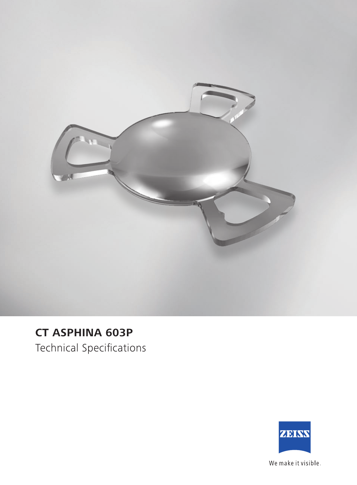

## **CT ASPHINA 603P**

Technical Specifications



We make it visible.